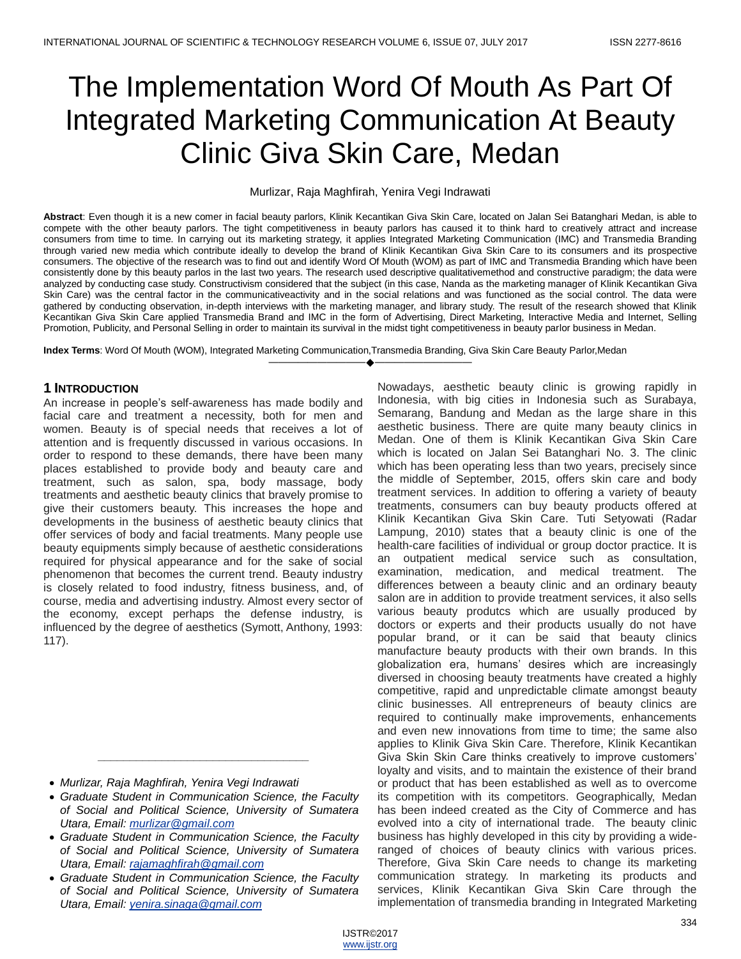# The Implementation Word Of Mouth As Part Of Integrated Marketing Communication At Beauty Clinic Giva Skin Care, Medan

#### Murlizar, Raja Maghfirah, Yenira Vegi Indrawati

**Abstract**: Even though it is a new comer in facial beauty parlors, Klinik Kecantikan Giva Skin Care, located on Jalan Sei Batanghari Medan, is able to compete with the other beauty parlors. The tight competitiveness in beauty parlors has caused it to think hard to creatively attract and increase consumers from time to time. In carrying out its marketing strategy, it applies Integrated Marketing Communication (IMC) and Transmedia Branding through varied new media which contribute ideally to develop the brand of Klinik Kecantikan Giva Skin Care to its consumers and its prospective consumers. The objective of the research was to find out and identify Word Of Mouth (WOM) as part of IMC and Transmedia Branding which have been consistently done by this beauty parlos in the last two years. The research used descriptive qualitativemethod and constructive paradigm; the data were analyzed by conducting case study. Constructivism considered that the subject (in this case, Nanda as the marketing manager of Klinik Kecantikan Giva Skin Care) was the central factor in the communicativeactivity and in the social relations and was functioned as the social control. The data were gathered by conducting observation, in-depth interviews with the marketing manager, and library study. The result of the research showed that Klinik Kecantikan Giva Skin Care applied Transmedia Brand and IMC in the form of Advertising, Direct Marketing, Interactive Media and Internet, Selling Promotion, Publicity, and Personal Selling in order to maintain its survival in the midst tight competitiveness in beauty parlor business in Medan.

————————————————————

**Index Terms**: Word Of Mouth (WOM), Integrated Marketing Communication,Transmedia Branding, Giva Skin Care Beauty Parlor,Medan

## **1 INTRODUCTION**

An increase in people's self-awareness has made bodily and facial care and treatment a necessity, both for men and women. Beauty is of special needs that receives a lot of attention and is frequently discussed in various occasions. In order to respond to these demands, there have been many places established to provide body and beauty care and treatment, such as salon, spa, body massage, body treatments and aesthetic beauty clinics that bravely promise to give their customers beauty. This increases the hope and developments in the business of aesthetic beauty clinics that offer services of body and facial treatments. Many people use beauty equipments simply because of aesthetic considerations required for physical appearance and for the sake of social phenomenon that becomes the current trend. Beauty industry is closely related to food industry, fitness business, and, of course, media and advertising industry. Almost every sector of the economy, except perhaps the defense industry, is influenced by the degree of aesthetics (Symott, Anthony, 1993: 117).

- *Murlizar, Raja Maghfirah, Yenira Vegi Indrawati*
- *Graduate Student in Communication Science, the Faculty of Social and Political Science, University of Sumatera Utara, Email: [murlizar@gmail.com](mailto:murlizar@gmail.com)*

*\_\_\_\_\_\_\_\_\_\_\_\_\_\_\_\_\_\_\_\_\_\_\_\_\_\_\_\_\_\_\_\_\_*

- *Graduate Student in Communication Science, the Faculty of Social and Political Science, University of Sumatera Utara, Email: [rajamaghfirah@gmail.com](mailto:rajamaghfirah@gmail.com)*
- *Graduate Student in Communication Science, the Faculty of Social and Political Science, University of Sumatera Utara, Email: [yenira.sinaga@gmail.com](mailto:yenira.sinaga@gmail.com)*

Nowadays, aesthetic beauty clinic is growing rapidly in Indonesia, with big cities in Indonesia such as Surabaya, Semarang, Bandung and Medan as the large share in this aesthetic business. There are quite many beauty clinics in Medan. One of them is Klinik Kecantikan Giva Skin Care which is located on Jalan Sei Batanghari No. 3. The clinic which has been operating less than two years, precisely since the middle of September, 2015, offers skin care and body treatment services. In addition to offering a variety of beauty treatments, consumers can buy beauty products offered at Klinik Kecantikan Giva Skin Care. Tuti Setyowati (Radar Lampung, 2010) states that a beauty clinic is one of the health-care facilities of individual or group doctor practice. It is an outpatient medical service such as consultation, examination, medication, and medical treatment. The differences between a beauty clinic and an ordinary beauty salon are in addition to provide treatment services, it also sells various beauty produtcs which are usually produced by doctors or experts and their products usually do not have popular brand, or it can be said that beauty clinics manufacture beauty products with their own brands. In this globalization era, humans' desires which are increasingly diversed in choosing beauty treatments have created a highly competitive, rapid and unpredictable climate amongst beauty clinic businesses. All entrepreneurs of beauty clinics are required to continually make improvements, enhancements and even new innovations from time to time; the same also applies to Klinik Giva Skin Care. Therefore, Klinik Kecantikan Giva Skin Skin Care thinks creatively to improve customers' loyalty and visits, and to maintain the existence of their brand or product that has been established as well as to overcome its competition with its competitors. Geographically, Medan has been indeed created as the City of Commerce and has evolved into a city of international trade. The beauty clinic business has highly developed in this city by providing a wideranged of choices of beauty clinics with various prices. Therefore, Giva Skin Care needs to change its marketing communication strategy. In marketing its products and services, Klinik Kecantikan Giva Skin Care through the implementation of transmedia branding in Integrated Marketing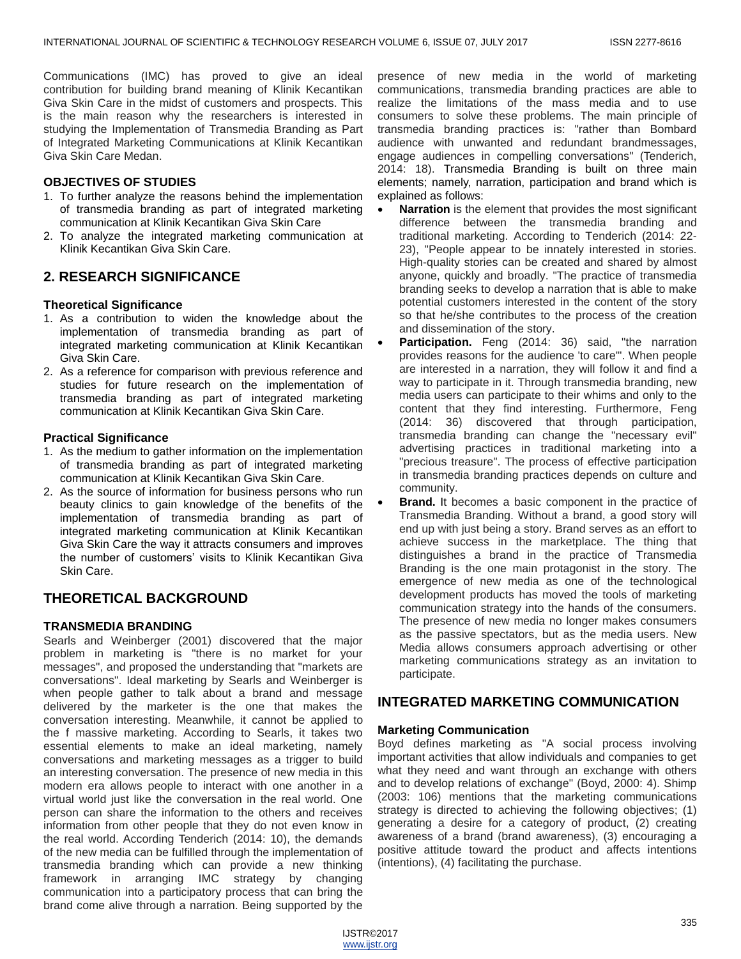Communications (IMC) has proved to give an ideal contribution for building brand meaning of Klinik Kecantikan Giva Skin Care in the midst of customers and prospects. This is the main reason why the researchers is interested in studying the Implementation of Transmedia Branding as Part of Integrated Marketing Communications at Klinik Kecantikan Giva Skin Care Medan.

## **OBJECTIVES OF STUDIES**

- 1. To further analyze the reasons behind the implementation of transmedia branding as part of integrated marketing communication at Klinik Kecantikan Giva Skin Care
- 2. To analyze the integrated marketing communication at Klinik Kecantikan Giva Skin Care.

# **2. RESEARCH SIGNIFICANCE**

## **Theoretical Significance**

- 1. As a contribution to widen the knowledge about the implementation of transmedia branding as part of integrated marketing communication at Klinik Kecantikan Giva Skin Care.
- 2. As a reference for comparison with previous reference and studies for future research on the implementation of transmedia branding as part of integrated marketing communication at Klinik Kecantikan Giva Skin Care.

## **Practical Significance**

- 1. As the medium to gather information on the implementation of transmedia branding as part of integrated marketing communication at Klinik Kecantikan Giva Skin Care.
- 2. As the source of information for business persons who run beauty clinics to gain knowledge of the benefits of the implementation of transmedia branding as part of integrated marketing communication at Klinik Kecantikan Giva Skin Care the way it attracts consumers and improves the number of customers' visits to Klinik Kecantikan Giva Skin Care.

# **THEORETICAL BACKGROUND**

## **TRANSMEDIA BRANDING**

Searls and Weinberger (2001) discovered that the major problem in marketing is "there is no market for your messages", and proposed the understanding that "markets are conversations". Ideal marketing by Searls and Weinberger is when people gather to talk about a brand and message delivered by the marketer is the one that makes the conversation interesting. Meanwhile, it cannot be applied to the f massive marketing. According to Searls, it takes two essential elements to make an ideal marketing, namely conversations and marketing messages as a trigger to build an interesting conversation. The presence of new media in this modern era allows people to interact with one another in a virtual world just like the conversation in the real world. One person can share the information to the others and receives information from other people that they do not even know in the real world. According Tenderich (2014: 10), the demands of the new media can be fulfilled through the implementation of transmedia branding which can provide a new thinking framework in arranging IMC strategy by changing communication into a participatory process that can bring the brand come alive through a narration. Being supported by the

presence of new media in the world of marketing communications, transmedia branding practices are able to realize the limitations of the mass media and to use consumers to solve these problems. The main principle of transmedia branding practices is: "rather than Bombard audience with unwanted and redundant brandmessages, engage audiences in compelling conversations" (Tenderich, 2014: 18). Transmedia Branding is built on three main elements; namely, narration, participation and brand which is explained as follows:

- **Narration** is the element that provides the most significant difference between the transmedia branding and traditional marketing. According to Tenderich (2014: 22- 23), "People appear to be innately interested in stories. High-quality stories can be created and shared by almost anyone, quickly and broadly. "The practice of transmedia branding seeks to develop a narration that is able to make potential customers interested in the content of the story so that he/she contributes to the process of the creation and dissemination of the story.
- **Participation.** Feng (2014: 36) said, "the narration provides reasons for the audience 'to care'". When people are interested in a narration, they will follow it and find a way to participate in it. Through transmedia branding, new media users can participate to their whims and only to the content that they find interesting. Furthermore, Feng (2014: 36) discovered that through participation, transmedia branding can change the "necessary evil" advertising practices in traditional marketing into a "precious treasure". The process of effective participation in transmedia branding practices depends on culture and community.
- **Brand.** It becomes a basic component in the practice of Transmedia Branding. Without a brand, a good story will end up with just being a story. Brand serves as an effort to achieve success in the marketplace. The thing that distinguishes a brand in the practice of Transmedia Branding is the one main protagonist in the story. The emergence of new media as one of the technological development products has moved the tools of marketing communication strategy into the hands of the consumers. The presence of new media no longer makes consumers as the passive spectators, but as the media users. New Media allows consumers approach advertising or other marketing communications strategy as an invitation to participate.

# **INTEGRATED MARKETING COMMUNICATION**

## **Marketing Communication**

Boyd defines marketing as "A social process involving important activities that allow individuals and companies to get what they need and want through an exchange with others and to develop relations of exchange" (Boyd, 2000: 4). Shimp (2003: 106) mentions that the marketing communications strategy is directed to achieving the following objectives; (1) generating a desire for a category of product, (2) creating awareness of a brand (brand awareness), (3) encouraging a positive attitude toward the product and affects intentions (intentions), (4) facilitating the purchase.

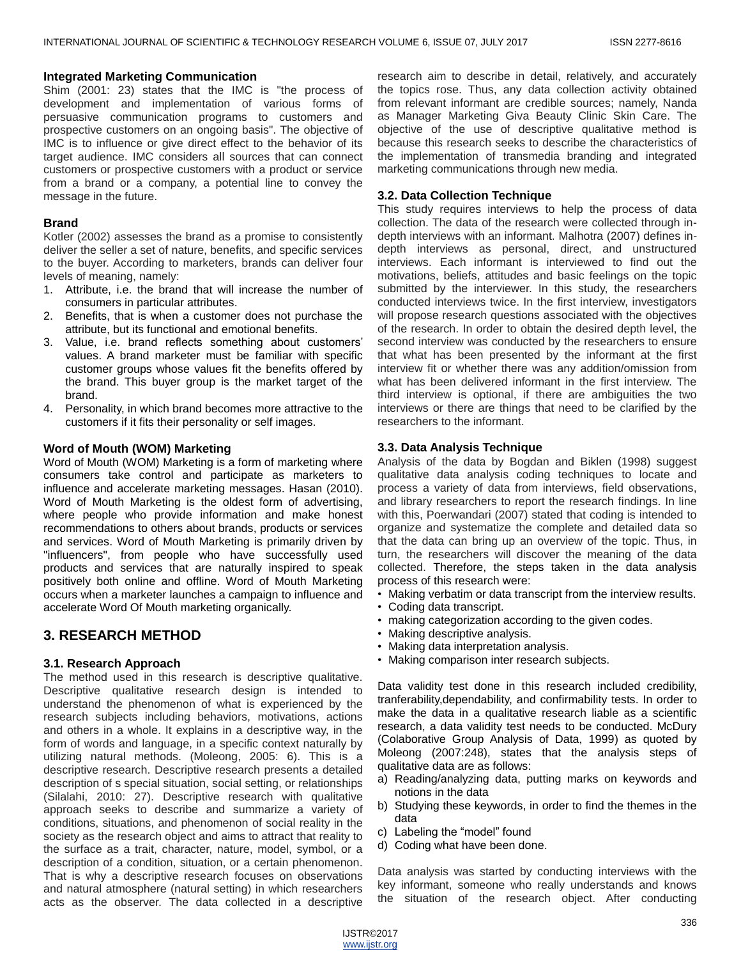#### **Integrated Marketing Communication**

Shim (2001: 23) states that the IMC is "the process of development and implementation of various forms of persuasive communication programs to customers and prospective customers on an ongoing basis". The objective of IMC is to influence or give direct effect to the behavior of its target audience. IMC considers all sources that can connect customers or prospective customers with a product or service from a brand or a company, a potential line to convey the message in the future.

## **Brand**

Kotler (2002) assesses the brand as a promise to consistently deliver the seller a set of nature, benefits, and specific services to the buyer. According to marketers, brands can deliver four levels of meaning, namely:

- 1. Attribute, i.e. the brand that will increase the number of consumers in particular attributes.
- 2. Benefits, that is when a customer does not purchase the attribute, but its functional and emotional benefits.
- 3. Value, i.e. brand reflects something about customers' values. A brand marketer must be familiar with specific customer groups whose values fit the benefits offered by the brand. This buyer group is the market target of the brand.
- 4. Personality, in which brand becomes more attractive to the customers if it fits their personality or self images.

#### **Word of Mouth (WOM) Marketing**

Word of Mouth (WOM) Marketing is a form of marketing where consumers take control and participate as marketers to influence and accelerate marketing messages. Hasan (2010). Word of Mouth Marketing is the oldest form of advertising, where people who provide information and make honest recommendations to others about brands, products or services and services. Word of Mouth Marketing is primarily driven by "influencers", from people who have successfully used products and services that are naturally inspired to speak positively both online and offline. Word of Mouth Marketing occurs when a marketer launches a campaign to influence and accelerate Word Of Mouth marketing organically.

# **3. RESEARCH METHOD**

## **3.1. Research Approach**

The method used in this research is descriptive qualitative. Descriptive qualitative research design is intended to understand the phenomenon of what is experienced by the research subjects including behaviors, motivations, actions and others in a whole. It explains in a descriptive way, in the form of words and language, in a specific context naturally by utilizing natural methods. (Moleong, 2005: 6). This is a descriptive research. Descriptive research presents a detailed description of s special situation, social setting, or relationships (Silalahi, 2010: 27). Descriptive research with qualitative approach seeks to describe and summarize a variety of conditions, situations, and phenomenon of social reality in the society as the research object and aims to attract that reality to the surface as a trait, character, nature, model, symbol, or a description of a condition, situation, or a certain phenomenon. That is why a descriptive research focuses on observations and natural atmosphere (natural setting) in which researchers acts as the observer. The data collected in a descriptive

research aim to describe in detail, relatively, and accurately the topics rose. Thus, any data collection activity obtained from relevant informant are credible sources; namely, Nanda as Manager Marketing Giva Beauty Clinic Skin Care. The objective of the use of descriptive qualitative method is because this research seeks to describe the characteristics of the implementation of transmedia branding and integrated marketing communications through new media.

## **3.2. Data Collection Technique**

This study requires interviews to help the process of data collection. The data of the research were collected through indepth interviews with an informant. Malhotra (2007) defines indepth interviews as personal, direct, and unstructured interviews. Each informant is interviewed to find out the motivations, beliefs, attitudes and basic feelings on the topic submitted by the interviewer. In this study, the researchers conducted interviews twice. In the first interview, investigators will propose research questions associated with the objectives of the research. In order to obtain the desired depth level, the second interview was conducted by the researchers to ensure that what has been presented by the informant at the first interview fit or whether there was any addition/omission from what has been delivered informant in the first interview. The third interview is optional, if there are ambiguities the two interviews or there are things that need to be clarified by the researchers to the informant.

## **3.3. Data Analysis Technique**

Analysis of the data by Bogdan and Biklen (1998) suggest qualitative data analysis coding techniques to locate and process a variety of data from interviews, field observations, and library researchers to report the research findings. In line with this, Poerwandari (2007) stated that coding is intended to organize and systematize the complete and detailed data so that the data can bring up an overview of the topic. Thus, in turn, the researchers will discover the meaning of the data collected. Therefore, the steps taken in the data analysis process of this research were:

- Making verbatim or data transcript from the interview results.
- Coding data transcript.
- making categorization according to the given codes.
- Making descriptive analysis.
- Making data interpretation analysis.
- Making comparison inter research subjects.

Data validity test done in this research included credibility, tranferability,dependability, and confirmability tests. In order to make the data in a qualitative research liable as a scientific research, a data validity test needs to be conducted. McDury (Colaborative Group Analysis of Data, 1999) as quoted by Moleong (2007:248), states that the analysis steps of qualitative data are as follows:

- a) Reading/analyzing data, putting marks on keywords and notions in the data
- b) Studying these keywords, in order to find the themes in the data
- c) Labeling the "model" found
- d) Coding what have been done.

Data analysis was started by conducting interviews with the key informant, someone who really understands and knows the situation of the research object. After conducting

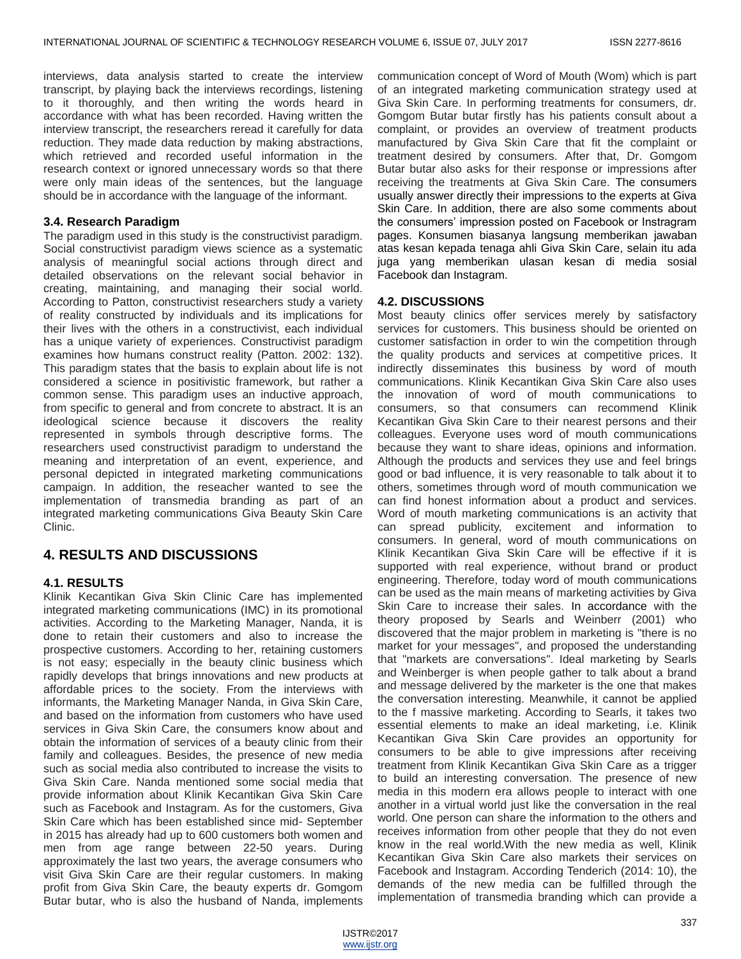interviews, data analysis started to create the interview transcript, by playing back the interviews recordings, listening to it thoroughly, and then writing the words heard in accordance with what has been recorded. Having written the interview transcript, the researchers reread it carefully for data reduction. They made data reduction by making abstractions, which retrieved and recorded useful information in the research context or ignored unnecessary words so that there were only main ideas of the sentences, but the language should be in accordance with the language of the informant.

## **3.4. Research Paradigm**

The paradigm used in this study is the constructivist paradigm. Social constructivist paradigm views science as a systematic analysis of meaningful social actions through direct and detailed observations on the relevant social behavior in creating, maintaining, and managing their social world. According to Patton, constructivist researchers study a variety of reality constructed by individuals and its implications for their lives with the others in a constructivist, each individual has a unique variety of experiences. Constructivist paradigm examines how humans construct reality (Patton. 2002: 132). This paradigm states that the basis to explain about life is not considered a science in positivistic framework, but rather a common sense. This paradigm uses an inductive approach, from specific to general and from concrete to abstract. It is an ideological science because it discovers the reality represented in symbols through descriptive forms. The researchers used constructivist paradigm to understand the meaning and interpretation of an event, experience, and personal depicted in integrated marketing communications campaign. In addition, the reseacher wanted to see the implementation of transmedia branding as part of an integrated marketing communications Giva Beauty Skin Care Clinic.

# **4. RESULTS AND DISCUSSIONS**

## **4.1. RESULTS**

Klinik Kecantikan Giva Skin Clinic Care has implemented integrated marketing communications (IMC) in its promotional activities. According to the Marketing Manager, Nanda, it is done to retain their customers and also to increase the prospective customers. According to her, retaining customers is not easy; especially in the beauty clinic business which rapidly develops that brings innovations and new products at affordable prices to the society. From the interviews with informants, the Marketing Manager Nanda, in Giva Skin Care, and based on the information from customers who have used services in Giva Skin Care, the consumers know about and obtain the information of services of a beauty clinic from their family and colleagues. Besides, the presence of new media such as social media also contributed to increase the visits to Giva Skin Care. Nanda mentioned some social media that provide information about Klinik Kecantikan Giva Skin Care such as Facebook and Instagram. As for the customers, Giva Skin Care which has been established since mid- September in 2015 has already had up to 600 customers both women and men from age range between 22-50 years. During approximately the last two years, the average consumers who visit Giva Skin Care are their regular customers. In making profit from Giva Skin Care, the beauty experts dr. Gomgom Butar butar, who is also the husband of Nanda, implements

communication concept of Word of Mouth (Wom) which is part of an integrated marketing communication strategy used at Giva Skin Care. In performing treatments for consumers, dr. Gomgom Butar butar firstly has his patients consult about a complaint, or provides an overview of treatment products manufactured by Giva Skin Care that fit the complaint or treatment desired by consumers. After that, Dr. Gomgom Butar butar also asks for their response or impressions after receiving the treatments at Giva Skin Care. The consumers usually answer directly their impressions to the experts at Giva Skin Care. In addition, there are also some comments about the consumers' impression posted on Facebook or Instragram pages. Konsumen biasanya langsung memberikan jawaban atas kesan kepada tenaga ahli Giva Skin Care, selain itu ada juga yang memberikan ulasan kesan di media sosial Facebook dan Instagram.

## **4.2. DISCUSSIONS**

Most beauty clinics offer services merely by satisfactory services for customers. This business should be oriented on customer satisfaction in order to win the competition through the quality products and services at competitive prices. It indirectly disseminates this business by word of mouth communications. Klinik Kecantikan Giva Skin Care also uses the innovation of word of mouth communications to consumers, so that consumers can recommend Klinik Kecantikan Giva Skin Care to their nearest persons and their colleagues. Everyone uses word of mouth communications because they want to share ideas, opinions and information. Although the products and services they use and feel brings good or bad influence, it is very reasonable to talk about it to others, sometimes through word of mouth communication we can find honest information about a product and services. Word of mouth marketing communications is an activity that can spread publicity, excitement and information to consumers. In general, word of mouth communications on Klinik Kecantikan Giva Skin Care will be effective if it is supported with real experience, without brand or product engineering. Therefore, today word of mouth communications can be used as the main means of marketing activities by Giva Skin Care to increase their sales. In accordance with the theory proposed by Searls and Weinberr (2001) who discovered that the major problem in marketing is "there is no market for your messages", and proposed the understanding that "markets are conversations". Ideal marketing by Searls and Weinberger is when people gather to talk about a brand and message delivered by the marketer is the one that makes the conversation interesting. Meanwhile, it cannot be applied to the f massive marketing. According to Searls, it takes two essential elements to make an ideal marketing, i.e. Klinik Kecantikan Giva Skin Care provides an opportunity for consumers to be able to give impressions after receiving treatment from Klinik Kecantikan Giva Skin Care as a trigger to build an interesting conversation. The presence of new media in this modern era allows people to interact with one another in a virtual world just like the conversation in the real world. One person can share the information to the others and receives information from other people that they do not even know in the real world.With the new media as well, Klinik Kecantikan Giva Skin Care also markets their services on Facebook and Instagram. According Tenderich (2014: 10), the demands of the new media can be fulfilled through the implementation of transmedia branding which can provide a

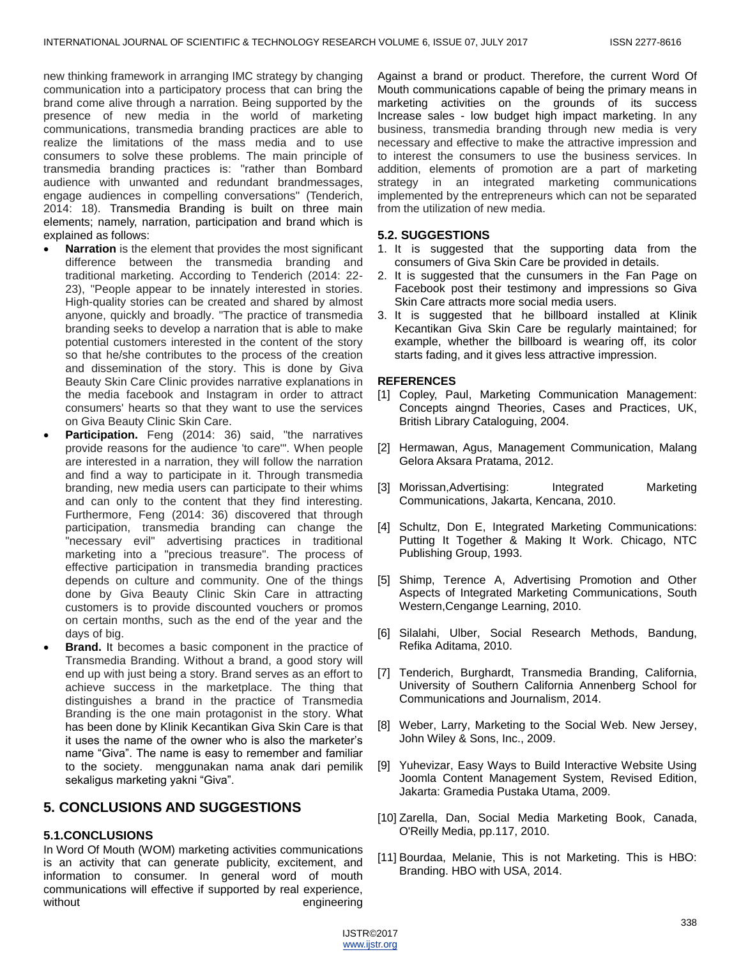new thinking framework in arranging IMC strategy by changing communication into a participatory process that can bring the brand come alive through a narration. Being supported by the presence of new media in the world of marketing communications, transmedia branding practices are able to realize the limitations of the mass media and to use consumers to solve these problems. The main principle of transmedia branding practices is: "rather than Bombard audience with unwanted and redundant brandmessages, engage audiences in compelling conversations" (Tenderich, 2014: 18). Transmedia Branding is built on three main elements; namely, narration, participation and brand which is explained as follows:

- **Narration** is the element that provides the most significant difference between the transmedia branding and traditional marketing. According to Tenderich (2014: 22- 23), "People appear to be innately interested in stories. High-quality stories can be created and shared by almost anyone, quickly and broadly. "The practice of transmedia branding seeks to develop a narration that is able to make potential customers interested in the content of the story so that he/she contributes to the process of the creation and dissemination of the story. This is done by Giva Beauty Skin Care Clinic provides narrative explanations in the media facebook and Instagram in order to attract consumers' hearts so that they want to use the services on Giva Beauty Clinic Skin Care.
- **Participation.** Feng (2014: 36) said, "the narratives provide reasons for the audience 'to care'". When people are interested in a narration, they will follow the narration and find a way to participate in it. Through transmedia branding, new media users can participate to their whims and can only to the content that they find interesting. Furthermore, Feng (2014: 36) discovered that through participation, transmedia branding can change the "necessary evil" advertising practices in traditional marketing into a "precious treasure". The process of effective participation in transmedia branding practices depends on culture and community. One of the things done by Giva Beauty Clinic Skin Care in attracting customers is to provide discounted vouchers or promos on certain months, such as the end of the year and the days of big.
- **Brand.** It becomes a basic component in the practice of Transmedia Branding. Without a brand, a good story will end up with just being a story. Brand serves as an effort to achieve success in the marketplace. The thing that distinguishes a brand in the practice of Transmedia Branding is the one main protagonist in the story. What has been done by Klinik Kecantikan Giva Skin Care is that it uses the name of the owner who is also the marketer's name "Giva". The name is easy to remember and familiar to the society. menggunakan nama anak dari pemilik sekaligus marketing yakni "Giva".

# **5. CONCLUSIONS AND SUGGESTIONS**

#### **5.1.CONCLUSIONS**

In Word Of Mouth (WOM) marketing activities communications is an activity that can generate publicity, excitement, and information to consumer. In general word of mouth communications will effective if supported by real experience, without engineering

Against a brand or product. Therefore, the current Word Of Mouth communications capable of being the primary means in marketing activities on the grounds of its success Increase sales - low budget high impact marketing. In any business, transmedia branding through new media is very necessary and effective to make the attractive impression and to interest the consumers to use the business services. In addition, elements of promotion are a part of marketing strategy in an integrated marketing communications implemented by the entrepreneurs which can not be separated from the utilization of new media.

#### **5.2. SUGGESTIONS**

- 1. It is suggested that the supporting data from the consumers of Giva Skin Care be provided in details.
- 2. It is suggested that the cunsumers in the Fan Page on Facebook post their testimony and impressions so Giva Skin Care attracts more social media users.
- 3. It is suggested that he billboard installed at Klinik Kecantikan Giva Skin Care be regularly maintained; for example, whether the billboard is wearing off, its color starts fading, and it gives less attractive impression.

#### **REFERENCES**

- [1] Copley, Paul, Marketing Communication Management: Concepts aingnd Theories, Cases and Practices, UK, British Library Cataloguing, 2004.
- [2] Hermawan, Agus, Management Communication, Malang Gelora Aksara Pratama, 2012.
- [3] Morissan, Advertising: Integrated Marketing Communications, Jakarta, Kencana, 2010.
- [4] Schultz, Don E, Integrated Marketing Communications: Putting It Together & Making It Work. Chicago, NTC Publishing Group, 1993.
- [5] Shimp, Terence A, Advertising Promotion and Other Aspects of Integrated Marketing Communications, South Western,Cengange Learning, 2010.
- [6] Silalahi, Ulber, Social Research Methods, Bandung, Refika Aditama, 2010.
- [7] Tenderich, Burghardt, Transmedia Branding, California, University of Southern California Annenberg School for Communications and Journalism, 2014.
- [8] Weber, Larry, Marketing to the Social Web. New Jersey, John Wiley & Sons, Inc., 2009.
- [9] Yuhevizar, Easy Ways to Build Interactive Website Using Joomla Content Management System, Revised Edition, Jakarta: Gramedia Pustaka Utama, 2009.
- [10] Zarella, Dan, Social Media Marketing Book, Canada, O'Reilly Media, pp.117, 2010.
- [11] Bourdaa, Melanie, This is not Marketing. This is HBO: Branding. HBO with USA, 2014.